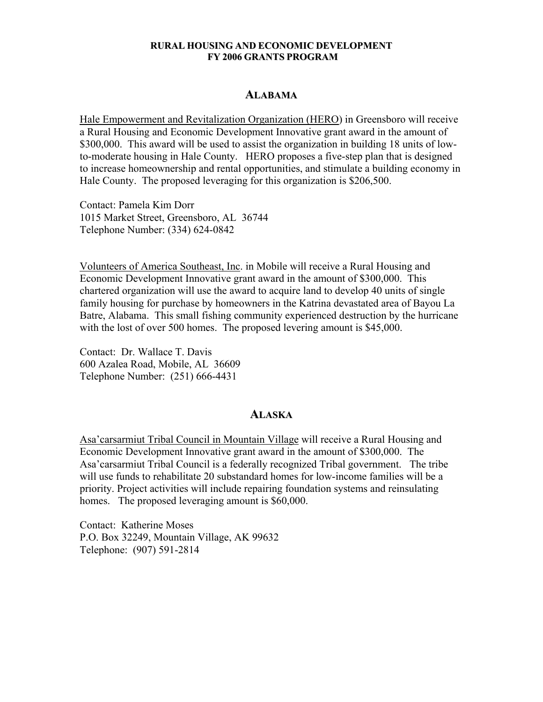#### **RURAL HOUSING AND ECONOMIC DEVELOPMENT FY 2006 GRANTS PROGRAM**

#### **ALABAMA**

Hale Empowerment and Revitalization Organization (HERO) in Greensboro will receive a Rural Housing and Economic Development Innovative grant award in the amount of \$300,000. This award will be used to assist the organization in building 18 units of lowto-moderate housing in Hale County. HERO proposes a five-step plan that is designed to increase homeownership and rental opportunities, and stimulate a building economy in Hale County. The proposed leveraging for this organization is \$206,500.

Contact: Pamela Kim Dorr 1015 Market Street, Greensboro, AL 36744 Telephone Number: (334) 624-0842

Volunteers of America Southeast, Inc. in Mobile will receive a Rural Housing and Economic Development Innovative grant award in the amount of \$300,000. This chartered organization will use the award to acquire land to develop 40 units of single family housing for purchase by homeowners in the Katrina devastated area of Bayou La Batre, Alabama. This small fishing community experienced destruction by the hurricane with the lost of over 500 homes. The proposed levering amount is \$45,000.

Contact: Dr. Wallace T. Davis 600 Azalea Road, Mobile, AL 36609 Telephone Number: (251) 666-4431

#### **ALASKA**

Asa'carsarmiut Tribal Council in Mountain Village will receive a Rural Housing and Economic Development Innovative grant award in the amount of \$300,000. The Asa'carsarmiut Tribal Council is a federally recognized Tribal government. The tribe will use funds to rehabilitate 20 substandard homes for low-income families will be a priority. Project activities will include repairing foundation systems and reinsulating homes. The proposed leveraging amount is \$60,000.

Contact: Katherine Moses P.O. Box 32249, Mountain Village, AK 99632 Telephone: (907) 591-2814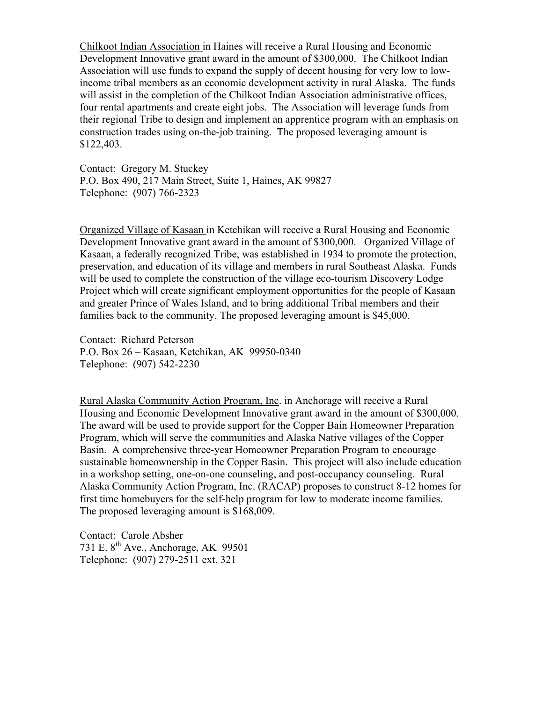Chilkoot Indian Association in Haines will receive a Rural Housing and Economic Development Innovative grant award in the amount of \$300,000. The Chilkoot Indian Association will use funds to expand the supply of decent housing for very low to lowincome tribal members as an economic development activity in rural Alaska. The funds will assist in the completion of the Chilkoot Indian Association administrative offices, four rental apartments and create eight jobs. The Association will leverage funds from their regional Tribe to design and implement an apprentice program with an emphasis on construction trades using on-the-job training. The proposed leveraging amount is \$122,403.

Contact: Gregory M. Stuckey P.O. Box 490, 217 Main Street, Suite 1, Haines, AK 99827 Telephone: (907) 766-2323

Organized Village of Kasaan in Ketchikan will receive a Rural Housing and Economic Development Innovative grant award in the amount of \$300,000. Organized Village of Kasaan, a federally recognized Tribe, was established in 1934 to promote the protection, preservation, and education of its village and members in rural Southeast Alaska. Funds will be used to complete the construction of the village eco-tourism Discovery Lodge Project which will create significant employment opportunities for the people of Kasaan and greater Prince of Wales Island, and to bring additional Tribal members and their families back to the community. The proposed leveraging amount is \$45,000.

Contact: Richard Peterson P.O. Box 26 – Kasaan, Ketchikan, AK 99950-0340 Telephone: (907) 542-2230

Rural Alaska Community Action Program, Inc. in Anchorage will receive a Rural Housing and Economic Development Innovative grant award in the amount of \$300,000. The award will be used to provide support for the Copper Bain Homeowner Preparation Program, which will serve the communities and Alaska Native villages of the Copper Basin. A comprehensive three-year Homeowner Preparation Program to encourage sustainable homeownership in the Copper Basin. This project will also include education in a workshop setting, one-on-one counseling, and post-occupancy counseling. Rural Alaska Community Action Program, Inc. (RACAP) proposes to construct 8-12 homes for first time homebuyers for the self-help program for low to moderate income families. The proposed leveraging amount is \$168,009.

Contact: Carole Absher 731 E.  $8^{th}$  Ave., Anchorage, AK 99501 Telephone: (907) 279-2511 ext. 321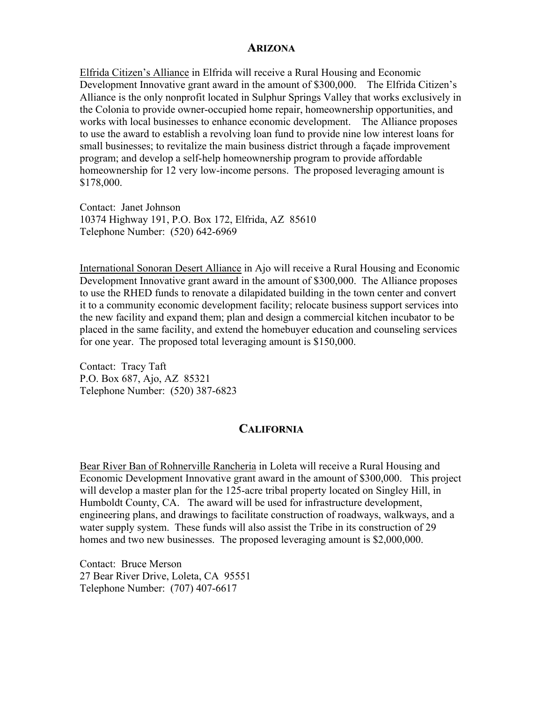### **ARIZONA**

Elfrida Citizen's Alliance in Elfrida will receive a Rural Housing and Economic Development Innovative grant award in the amount of \$300,000. The Elfrida Citizen's Alliance is the only nonprofit located in Sulphur Springs Valley that works exclusively in the Colonia to provide owner-occupied home repair, homeownership opportunities, and works with local businesses to enhance economic development. The Alliance proposes to use the award to establish a revolving loan fund to provide nine low interest loans for small businesses; to revitalize the main business district through a façade improvement program; and develop a self-help homeownership program to provide affordable homeownership for 12 very low-income persons. The proposed leveraging amount is \$178,000.

Contact: Janet Johnson 10374 Highway 191, P.O. Box 172, Elfrida, AZ 85610 Telephone Number: (520) 642-6969

International Sonoran Desert Alliance in Ajo will receive a Rural Housing and Economic Development Innovative grant award in the amount of \$300,000. The Alliance proposes to use the RHED funds to renovate a dilapidated building in the town center and convert it to a community economic development facility; relocate business support services into the new facility and expand them; plan and design a commercial kitchen incubator to be placed in the same facility, and extend the homebuyer education and counseling services for one year. The proposed total leveraging amount is \$150,000.

Contact: Tracy Taft P.O. Box 687, Ajo, AZ 85321 Telephone Number: (520) 387-6823

## **CALIFORNIA**

Bear River Ban of Rohnerville Rancheria in Loleta will receive a Rural Housing and Economic Development Innovative grant award in the amount of \$300,000. This project will develop a master plan for the 125-acre tribal property located on Singley Hill, in Humboldt County, CA. The award will be used for infrastructure development, engineering plans, and drawings to facilitate construction of roadways, walkways, and a water supply system. These funds will also assist the Tribe in its construction of 29 homes and two new businesses. The proposed leveraging amount is \$2,000,000.

Contact: Bruce Merson 27 Bear River Drive, Loleta, CA 95551 Telephone Number: (707) 407-6617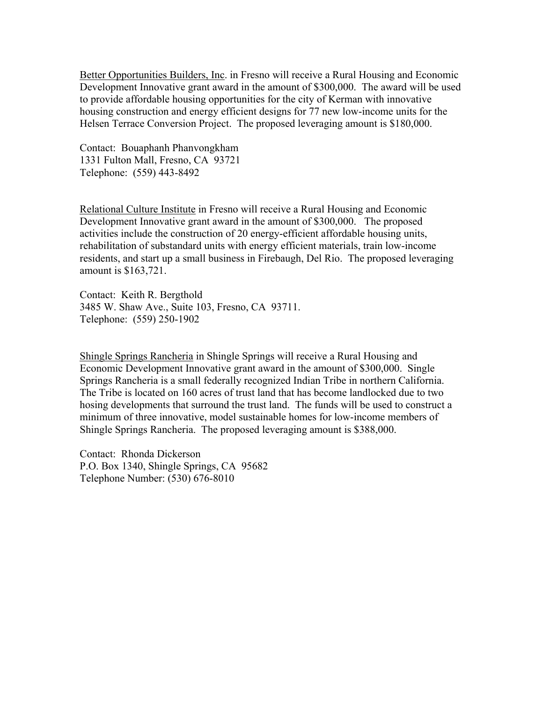Better Opportunities Builders, Inc. in Fresno will receive a Rural Housing and Economic Development Innovative grant award in the amount of \$300,000. The award will be used to provide affordable housing opportunities for the city of Kerman with innovative housing construction and energy efficient designs for 77 new low-income units for the Helsen Terrace Conversion Project. The proposed leveraging amount is \$180,000.

Contact: Bouaphanh Phanvongkham 1331 Fulton Mall, Fresno, CA 93721 Telephone: (559) 443-8492

Relational Culture Institute in Fresno will receive a Rural Housing and Economic Development Innovative grant award in the amount of \$300,000. The proposed activities include the construction of 20 energy-efficient affordable housing units, rehabilitation of substandard units with energy efficient materials, train low-income residents, and start up a small business in Firebaugh, Del Rio. The proposed leveraging amount is \$163,721.

Contact: Keith R. Bergthold 3485 W. Shaw Ave., Suite 103, Fresno, CA 93711. Telephone: (559) 250-1902

Shingle Springs Rancheria in Shingle Springs will receive a Rural Housing and Economic Development Innovative grant award in the amount of \$300,000. Single Springs Rancheria is a small federally recognized Indian Tribe in northern California. The Tribe is located on 160 acres of trust land that has become landlocked due to two hosing developments that surround the trust land. The funds will be used to construct a minimum of three innovative, model sustainable homes for low-income members of Shingle Springs Rancheria. The proposed leveraging amount is \$388,000.

Contact: Rhonda Dickerson P.O. Box 1340, Shingle Springs, CA 95682 Telephone Number: (530) 676-8010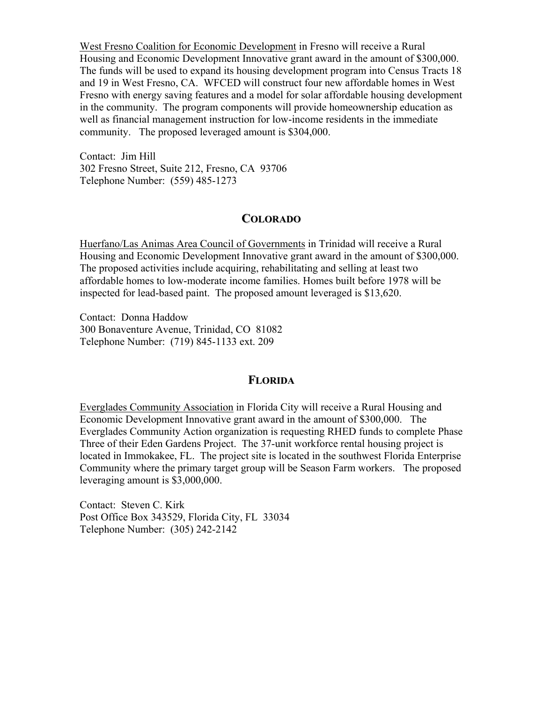West Fresno Coalition for Economic Development in Fresno will receive a Rural Housing and Economic Development Innovative grant award in the amount of \$300,000. The funds will be used to expand its housing development program into Census Tracts 18 and 19 in West Fresno, CA. WFCED will construct four new affordable homes in West Fresno with energy saving features and a model for solar affordable housing development in the community. The program components will provide homeownership education as well as financial management instruction for low-income residents in the immediate community. The proposed leveraged amount is \$304,000.

Contact: Jim Hill 302 Fresno Street, Suite 212, Fresno, CA 93706 Telephone Number: (559) 485-1273

## **COLORADO**

Huerfano/Las Animas Area Council of Governments in Trinidad will receive a Rural Housing and Economic Development Innovative grant award in the amount of \$300,000. The proposed activities include acquiring, rehabilitating and selling at least two affordable homes to low-moderate income families. Homes built before 1978 will be inspected for lead-based paint. The proposed amount leveraged is \$13,620.

Contact: Donna Haddow 300 Bonaventure Avenue, Trinidad, CO 81082 Telephone Number: (719) 845-1133 ext. 209

# **FLORIDA**

Everglades Community Association in Florida City will receive a Rural Housing and Economic Development Innovative grant award in the amount of \$300,000. The Everglades Community Action organization is requesting RHED funds to complete Phase Three of their Eden Gardens Project. The 37-unit workforce rental housing project is located in Immokakee, FL. The project site is located in the southwest Florida Enterprise Community where the primary target group will be Season Farm workers. The proposed leveraging amount is \$3,000,000.

Contact: Steven C. Kirk Post Office Box 343529, Florida City, FL 33034 Telephone Number: (305) 242-2142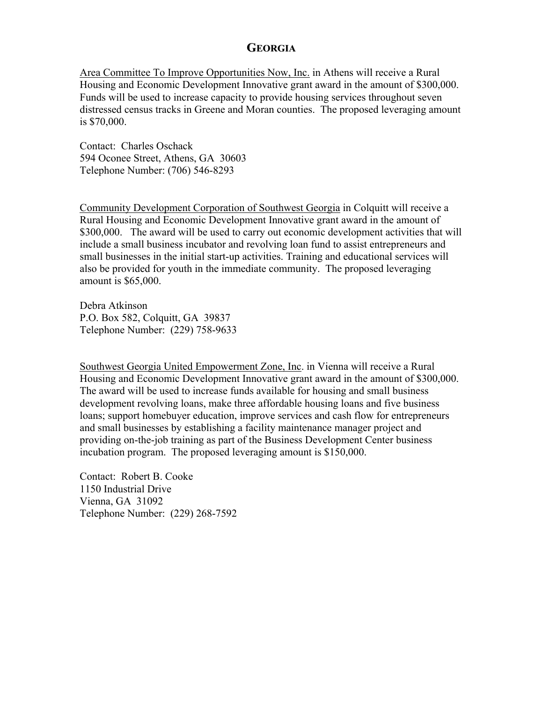# **GEORGIA**

Area Committee To Improve Opportunities Now, Inc. in Athens will receive a Rural Housing and Economic Development Innovative grant award in the amount of \$300,000. Funds will be used to increase capacity to provide housing services throughout seven distressed census tracks in Greene and Moran counties. The proposed leveraging amount is \$70,000.

Contact: Charles Oschack 594 Oconee Street, Athens, GA 30603 Telephone Number: (706) 546-8293

Community Development Corporation of Southwest Georgia in Colquitt will receive a Rural Housing and Economic Development Innovative grant award in the amount of \$300,000. The award will be used to carry out economic development activities that will include a small business incubator and revolving loan fund to assist entrepreneurs and small businesses in the initial start-up activities. Training and educational services will also be provided for youth in the immediate community. The proposed leveraging amount is \$65,000.

Debra Atkinson P.O. Box 582, Colquitt, GA 39837 Telephone Number: (229) 758-9633

Southwest Georgia United Empowerment Zone, Inc. in Vienna will receive a Rural Housing and Economic Development Innovative grant award in the amount of \$300,000. The award will be used to increase funds available for housing and small business development revolving loans, make three affordable housing loans and five business loans; support homebuyer education, improve services and cash flow for entrepreneurs and small businesses by establishing a facility maintenance manager project and providing on-the-job training as part of the Business Development Center business incubation program. The proposed leveraging amount is \$150,000.

Contact: Robert B. Cooke 1150 Industrial Drive Vienna, GA 31092 Telephone Number: (229) 268-7592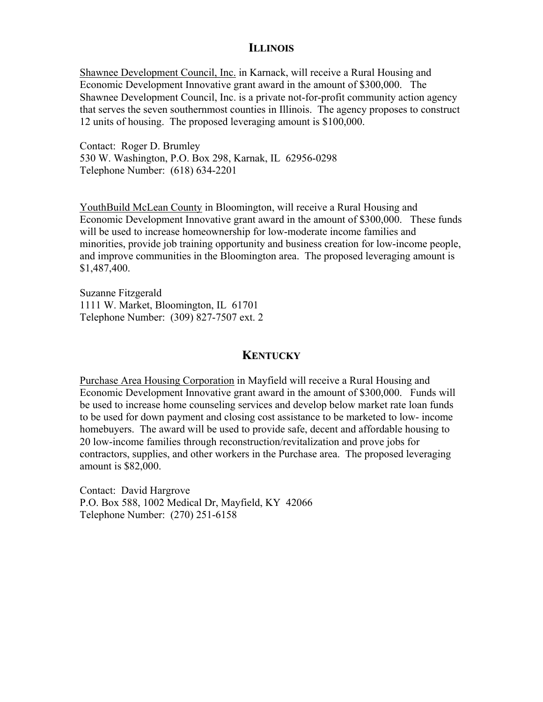## **ILLINOIS**

Shawnee Development Council, Inc. in Karnack, will receive a Rural Housing and Economic Development Innovative grant award in the amount of \$300,000. The Shawnee Development Council, Inc. is a private not-for-profit community action agency that serves the seven southernmost counties in Illinois. The agency proposes to construct 12 units of housing. The proposed leveraging amount is \$100,000.

Contact: Roger D. Brumley 530 W. Washington, P.O. Box 298, Karnak, IL 62956-0298 Telephone Number: (618) 634-2201

YouthBuild McLean County in Bloomington, will receive a Rural Housing and Economic Development Innovative grant award in the amount of \$300,000. These funds will be used to increase homeownership for low-moderate income families and minorities, provide job training opportunity and business creation for low-income people, and improve communities in the Bloomington area. The proposed leveraging amount is \$1,487,400.

Suzanne Fitzgerald 1111 W. Market, Bloomington, IL 61701 Telephone Number: (309) 827-7507 ext. 2

## **KENTUCKY**

Purchase Area Housing Corporation in Mayfield will receive a Rural Housing and Economic Development Innovative grant award in the amount of \$300,000. Funds will be used to increase home counseling services and develop below market rate loan funds to be used for down payment and closing cost assistance to be marketed to low- income homebuyers. The award will be used to provide safe, decent and affordable housing to 20 low-income families through reconstruction/revitalization and prove jobs for contractors, supplies, and other workers in the Purchase area. The proposed leveraging amount is \$82,000.

Contact: David Hargrove P.O. Box 588, 1002 Medical Dr, Mayfield, KY 42066 Telephone Number: (270) 251-6158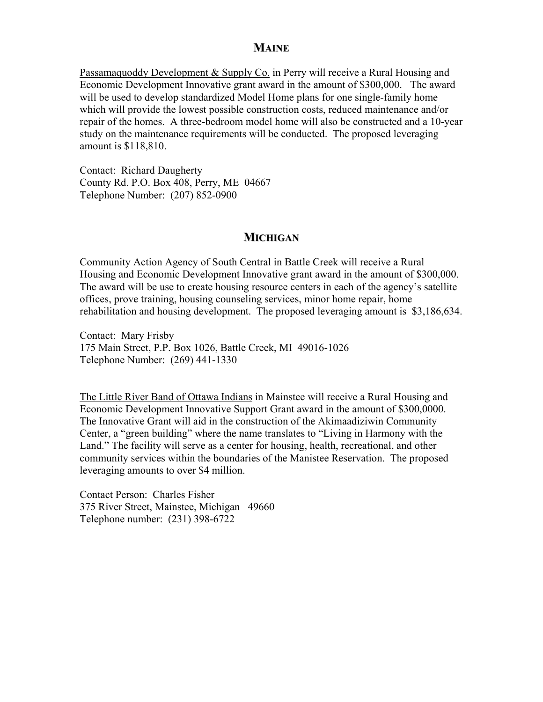## **MAINE**

Passamaquoddy Development & Supply Co. in Perry will receive a Rural Housing and Economic Development Innovative grant award in the amount of \$300,000. The award will be used to develop standardized Model Home plans for one single-family home which will provide the lowest possible construction costs, reduced maintenance and/or repair of the homes. A three-bedroom model home will also be constructed and a 10-year study on the maintenance requirements will be conducted. The proposed leveraging amount is \$118,810.

Contact: Richard Daugherty County Rd. P.O. Box 408, Perry, ME 04667 Telephone Number: (207) 852-0900

## **MICHIGAN**

Community Action Agency of South Central in Battle Creek will receive a Rural Housing and Economic Development Innovative grant award in the amount of \$300,000. The award will be use to create housing resource centers in each of the agency's satellite offices, prove training, housing counseling services, minor home repair, home rehabilitation and housing development. The proposed leveraging amount is \$3,186,634.

Contact: Mary Frisby 175 Main Street, P.P. Box 1026, Battle Creek, MI 49016-1026 Telephone Number: (269) 441-1330

The Little River Band of Ottawa Indians in Mainstee will receive a Rural Housing and Economic Development Innovative Support Grant award in the amount of \$300,0000. The Innovative Grant will aid in the construction of the Akimaadiziwin Community Center, a "green building" where the name translates to "Living in Harmony with the Land." The facility will serve as a center for housing, health, recreational, and other community services within the boundaries of the Manistee Reservation. The proposed leveraging amounts to over \$4 million.

Contact Person: Charles Fisher 375 River Street, Mainstee, Michigan 49660 Telephone number: (231) 398-6722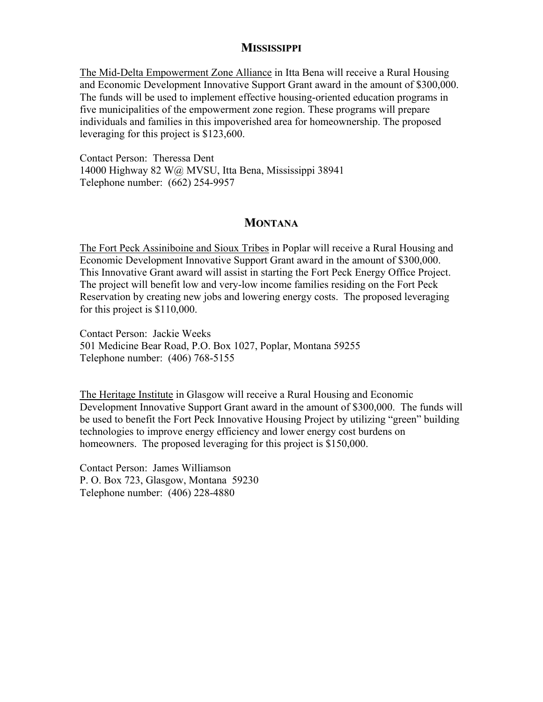# **MISSISSIPPI**

The Mid-Delta Empowerment Zone Alliance in Itta Bena will receive a Rural Housing and Economic Development Innovative Support Grant award in the amount of \$300,000. The funds will be used to implement effective housing-oriented education programs in five municipalities of the empowerment zone region. These programs will prepare individuals and families in this impoverished area for homeownership. The proposed leveraging for this project is \$123,600.

Contact Person: Theressa Dent 14000 Highway 82 W@ MVSU, Itta Bena, Mississippi 38941 Telephone number: (662) 254-9957

## **MONTANA**

The Fort Peck Assiniboine and Sioux Tribes in Poplar will receive a Rural Housing and Economic Development Innovative Support Grant award in the amount of \$300,000. This Innovative Grant award will assist in starting the Fort Peck Energy Office Project. The project will benefit low and very-low income families residing on the Fort Peck Reservation by creating new jobs and lowering energy costs. The proposed leveraging for this project is \$110,000.

Contact Person: Jackie Weeks 501 Medicine Bear Road, P.O. Box 1027, Poplar, Montana 59255 Telephone number: (406) 768-5155

The Heritage Institute in Glasgow will receive a Rural Housing and Economic Development Innovative Support Grant award in the amount of \$300,000. The funds will be used to benefit the Fort Peck Innovative Housing Project by utilizing "green" building technologies to improve energy efficiency and lower energy cost burdens on homeowners. The proposed leveraging for this project is \$150,000.

Contact Person: James Williamson P. O. Box 723, Glasgow, Montana 59230 Telephone number: (406) 228-4880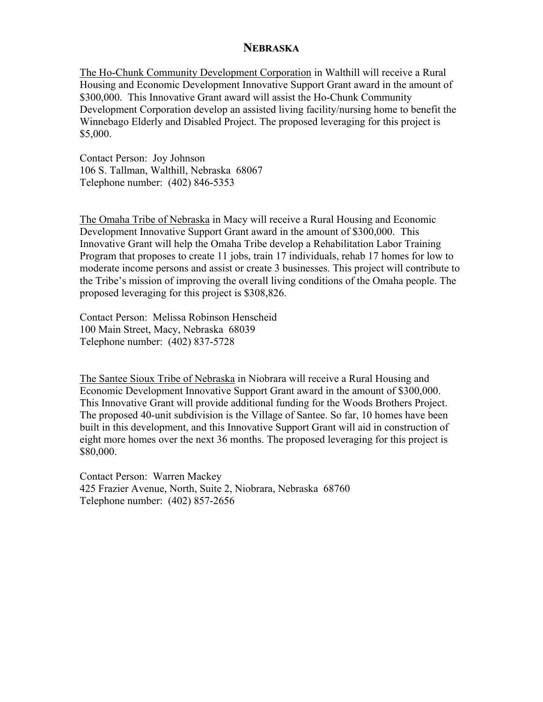## **NEBRASKA**

The Ho-Chunk Community Development Corporation in Walthill will receive a Rural Housing and Economic Development Innovative Support Grant award in the amount of \$300,000. This Innovative Grant award will assist the Ho-Chunk Community Development Corporation develop an assisted living facility/nursing home to benefit the Winnebago Elderly and Disabled Project. The proposed leveraging for this project is \$5,000.

Contact Person: Joy Johnson 106 S. Tallman, Walthill, Nebraska 68067 Telephone number: (402) 846-5353

The Omaha Tribe of Nebraska in Macy will receive a Rural Housing and Economic Development Innovative Support Grant award in the amount of \$300,000. This Innovative Grant will help the Omaha Tribe develop a Rehabilitation Labor Training Program that proposes to create 11 jobs, train 17 individuals, rehab 17 homes for low to moderate income persons and assist or create 3 businesses. This project will contribute to the Tribe's mission of improving the overall living conditions of the Omaha people. The proposed leveraging for this project is \$308,826.

Contact Person: Melissa Robinson Henscheid 100 Main Street, Macy, Nebraska 68039 Telephone number: (402) 837-5728

The Santee Sioux Tribe of Nebraska in Niobrara will receive a Rural Housing and Economic Development Innovative Support Grant award in the amount of \$300,000. This Innovative Grant will provide additional funding for the Woods Brothers Project. The proposed 40-unit subdivision is the Village of Santee. So far, 10 homes have been built in this development, and this Innovative Support Grant will aid in construction of eight more homes over the next 36 months. The proposed leveraging for this project is \$80,000.

Contact Person: Warren Mackey 425 Frazier Avenue, North, Suite 2, Niobrara, Nebraska 68760 Telephone number: (402) 857-2656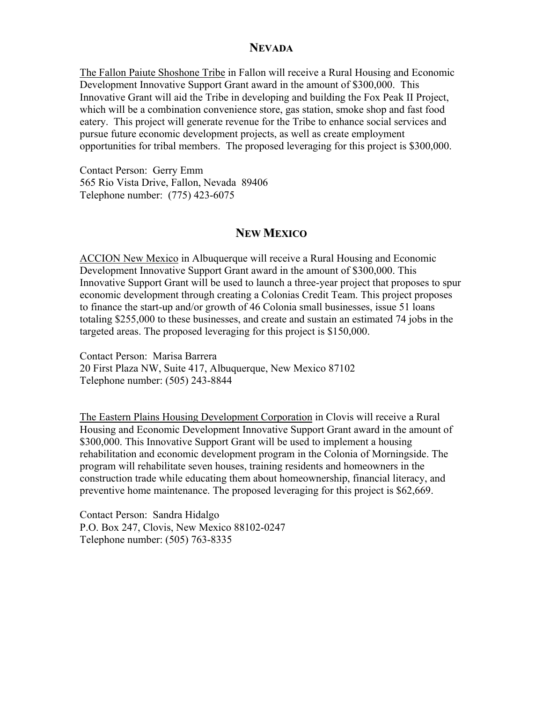#### **NEVADA**

The Fallon Paiute Shoshone Tribe in Fallon will receive a Rural Housing and Economic Development Innovative Support Grant award in the amount of \$300,000. This Innovative Grant will aid the Tribe in developing and building the Fox Peak II Project, which will be a combination convenience store, gas station, smoke shop and fast food eatery. This project will generate revenue for the Tribe to enhance social services and pursue future economic development projects, as well as create employment opportunities for tribal members. The proposed leveraging for this project is \$300,000.

Contact Person: Gerry Emm 565 Rio Vista Drive, Fallon, Nevada 89406 Telephone number: (775) 423-6075

# **NEW MEXICO**

ACCION New Mexico in Albuquerque will receive a Rural Housing and Economic Development Innovative Support Grant award in the amount of \$300,000. This Innovative Support Grant will be used to launch a three-year project that proposes to spur economic development through creating a Colonias Credit Team. This project proposes to finance the start-up and/or growth of 46 Colonia small businesses, issue 51 loans totaling \$255,000 to these businesses, and create and sustain an estimated 74 jobs in the targeted areas. The proposed leveraging for this project is \$150,000.

Contact Person: Marisa Barrera 20 First Plaza NW, Suite 417, Albuquerque, New Mexico 87102 Telephone number: (505) 243-8844

The Eastern Plains Housing Development Corporation in Clovis will receive a Rural Housing and Economic Development Innovative Support Grant award in the amount of \$300,000. This Innovative Support Grant will be used to implement a housing rehabilitation and economic development program in the Colonia of Morningside. The program will rehabilitate seven houses, training residents and homeowners in the construction trade while educating them about homeownership, financial literacy, and preventive home maintenance. The proposed leveraging for this project is \$62,669.

Contact Person: Sandra Hidalgo P.O. Box 247, Clovis, New Mexico 88102-0247 Telephone number: (505) 763-8335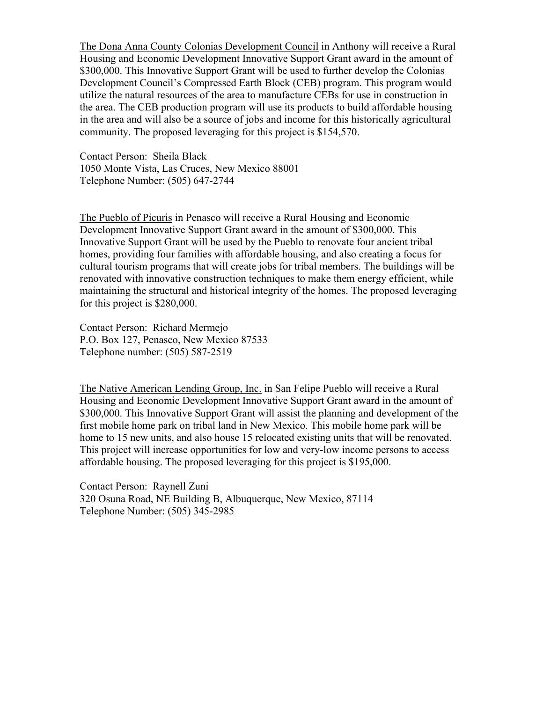The Dona Anna County Colonias Development Council in Anthony will receive a Rural Housing and Economic Development Innovative Support Grant award in the amount of \$300,000. This Innovative Support Grant will be used to further develop the Colonias Development Council's Compressed Earth Block (CEB) program. This program would utilize the natural resources of the area to manufacture CEBs for use in construction in the area. The CEB production program will use its products to build affordable housing in the area and will also be a source of jobs and income for this historically agricultural community. The proposed leveraging for this project is \$154,570.

Contact Person: Sheila Black 1050 Monte Vista, Las Cruces, New Mexico 88001 Telephone Number: (505) 647-2744

The Pueblo of Picuris in Penasco will receive a Rural Housing and Economic Development Innovative Support Grant award in the amount of \$300,000. This Innovative Support Grant will be used by the Pueblo to renovate four ancient tribal homes, providing four families with affordable housing, and also creating a focus for cultural tourism programs that will create jobs for tribal members. The buildings will be renovated with innovative construction techniques to make them energy efficient, while maintaining the structural and historical integrity of the homes. The proposed leveraging for this project is \$280,000.

Contact Person: Richard Mermejo P.O. Box 127, Penasco, New Mexico 87533 Telephone number: (505) 587-2519

The Native American Lending Group, Inc. in San Felipe Pueblo will receive a Rural Housing and Economic Development Innovative Support Grant award in the amount of \$300,000. This Innovative Support Grant will assist the planning and development of the first mobile home park on tribal land in New Mexico. This mobile home park will be home to 15 new units, and also house 15 relocated existing units that will be renovated. This project will increase opportunities for low and very-low income persons to access affordable housing. The proposed leveraging for this project is \$195,000.

Contact Person: Raynell Zuni 320 Osuna Road, NE Building B, Albuquerque, New Mexico, 87114 Telephone Number: (505) 345-2985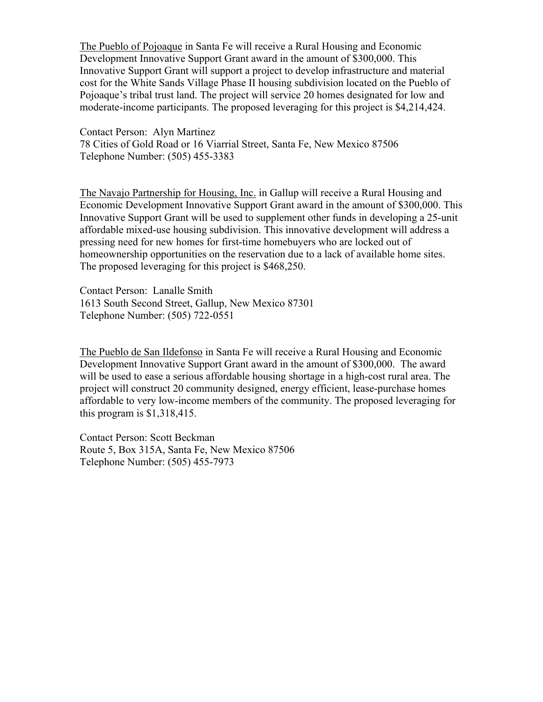The Pueblo of Pojoaque in Santa Fe will receive a Rural Housing and Economic Development Innovative Support Grant award in the amount of \$300,000. This Innovative Support Grant will support a project to develop infrastructure and material cost for the White Sands Village Phase II housing subdivision located on the Pueblo of Pojoaque's tribal trust land. The project will service 20 homes designated for low and moderate-income participants. The proposed leveraging for this project is \$4,214,424.

Contact Person: Alyn Martinez 78 Cities of Gold Road or 16 Viarrial Street, Santa Fe, New Mexico 87506 Telephone Number: (505) 455-3383

The Navajo Partnership for Housing, Inc. in Gallup will receive a Rural Housing and Economic Development Innovative Support Grant award in the amount of \$300,000. This Innovative Support Grant will be used to supplement other funds in developing a 25-unit affordable mixed-use housing subdivision. This innovative development will address a pressing need for new homes for first-time homebuyers who are locked out of homeownership opportunities on the reservation due to a lack of available home sites. The proposed leveraging for this project is \$468,250.

Contact Person: Lanalle Smith 1613 South Second Street, Gallup, New Mexico 87301 Telephone Number: (505) 722-0551

The Pueblo de San Ildefonso in Santa Fe will receive a Rural Housing and Economic Development Innovative Support Grant award in the amount of \$300,000. The award will be used to ease a serious affordable housing shortage in a high-cost rural area. The project will construct 20 community designed, energy efficient, lease-purchase homes affordable to very low-income members of the community. The proposed leveraging for this program is \$1,318,415.

Contact Person: Scott Beckman Route 5, Box 315A, Santa Fe, New Mexico 87506 Telephone Number: (505) 455-7973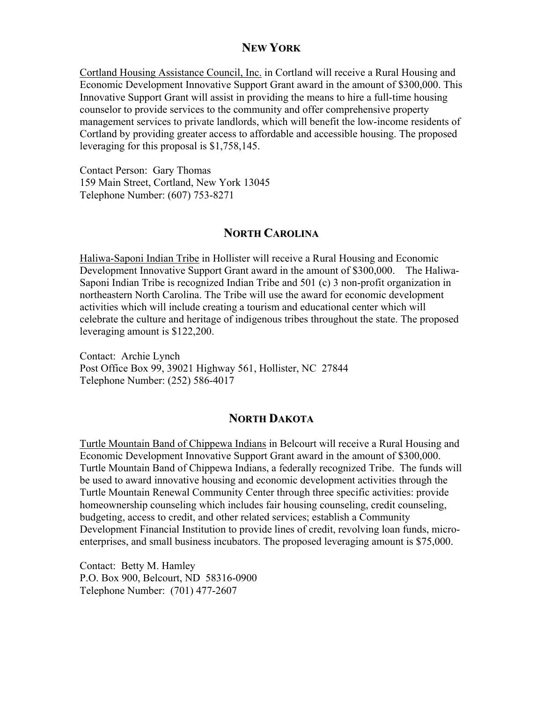# **NEW YORK**

Cortland Housing Assistance Council, Inc. in Cortland will receive a Rural Housing and Economic Development Innovative Support Grant award in the amount of \$300,000. This Innovative Support Grant will assist in providing the means to hire a full-time housing counselor to provide services to the community and offer comprehensive property management services to private landlords, which will benefit the low-income residents of Cortland by providing greater access to affordable and accessible housing. The proposed leveraging for this proposal is \$1,758,145.

Contact Person: Gary Thomas 159 Main Street, Cortland, New York 13045 Telephone Number: (607) 753-8271

# **NORTH CAROLINA**

Haliwa-Saponi Indian Tribe in Hollister will receive a Rural Housing and Economic Development Innovative Support Grant award in the amount of \$300,000. The Haliwa-Saponi Indian Tribe is recognized Indian Tribe and 501 (c) 3 non-profit organization in northeastern North Carolina. The Tribe will use the award for economic development activities which will include creating a tourism and educational center which will celebrate the culture and heritage of indigenous tribes throughout the state. The proposed leveraging amount is \$122,200.

Contact: Archie Lynch Post Office Box 99, 39021 Highway 561, Hollister, NC 27844 Telephone Number: (252) 586-4017

# **NORTH DAKOTA**

Turtle Mountain Band of Chippewa Indians in Belcourt will receive a Rural Housing and Economic Development Innovative Support Grant award in the amount of \$300,000. Turtle Mountain Band of Chippewa Indians, a federally recognized Tribe. The funds will be used to award innovative housing and economic development activities through the Turtle Mountain Renewal Community Center through three specific activities: provide homeownership counseling which includes fair housing counseling, credit counseling, budgeting, access to credit, and other related services; establish a Community Development Financial Institution to provide lines of credit, revolving loan funds, microenterprises, and small business incubators. The proposed leveraging amount is \$75,000.

Contact: Betty M. Hamley P.O. Box 900, Belcourt, ND 58316-0900 Telephone Number: (701) 477-2607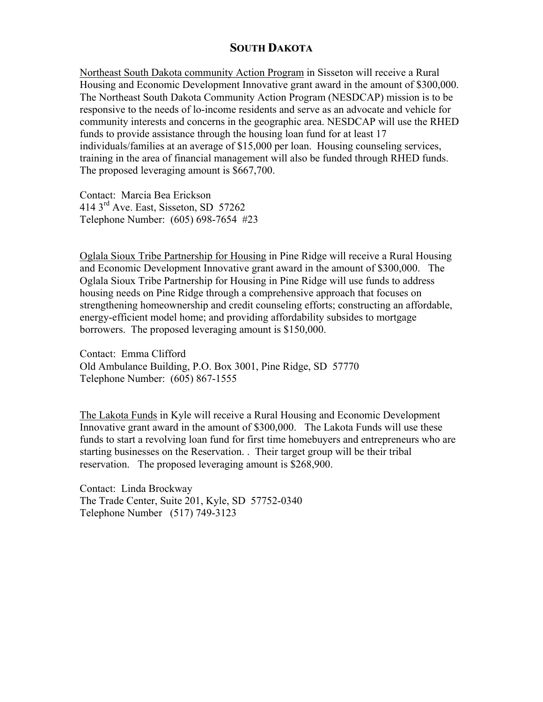# **SOUTH DAKOTA**

Northeast South Dakota community Action Program in Sisseton will receive a Rural Housing and Economic Development Innovative grant award in the amount of \$300,000. The Northeast South Dakota Community Action Program (NESDCAP) mission is to be responsive to the needs of lo-income residents and serve as an advocate and vehicle for community interests and concerns in the geographic area. NESDCAP will use the RHED funds to provide assistance through the housing loan fund for at least 17 individuals/families at an average of \$15,000 per loan. Housing counseling services, training in the area of financial management will also be funded through RHED funds. The proposed leveraging amount is \$667,700.

Contact: Marcia Bea Erickson 414 3rd Ave. East, Sisseton, SD 57262 Telephone Number: (605) 698-7654 #23

Oglala Sioux Tribe Partnership for Housing in Pine Ridge will receive a Rural Housing and Economic Development Innovative grant award in the amount of \$300,000. The Oglala Sioux Tribe Partnership for Housing in Pine Ridge will use funds to address housing needs on Pine Ridge through a comprehensive approach that focuses on strengthening homeownership and credit counseling efforts; constructing an affordable, energy-efficient model home; and providing affordability subsides to mortgage borrowers. The proposed leveraging amount is \$150,000.

Contact: Emma Clifford Old Ambulance Building, P.O. Box 3001, Pine Ridge, SD 57770 Telephone Number: (605) 867-1555

The Lakota Funds in Kyle will receive a Rural Housing and Economic Development Innovative grant award in the amount of \$300,000. The Lakota Funds will use these funds to start a revolving loan fund for first time homebuyers and entrepreneurs who are starting businesses on the Reservation. . Their target group will be their tribal reservation. The proposed leveraging amount is \$268,900.

Contact: Linda Brockway The Trade Center, Suite 201, Kyle, SD 57752-0340 Telephone Number (517) 749-3123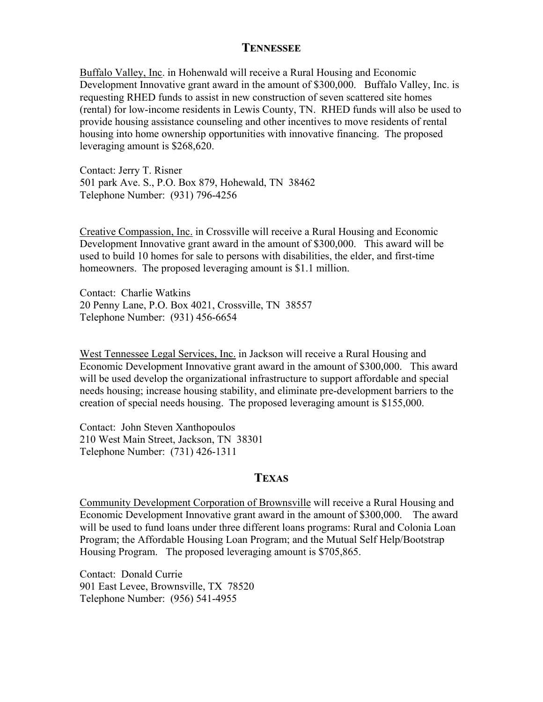## **TENNESSEE**

Buffalo Valley, Inc. in Hohenwald will receive a Rural Housing and Economic Development Innovative grant award in the amount of \$300,000. Buffalo Valley, Inc. is requesting RHED funds to assist in new construction of seven scattered site homes (rental) for low-income residents in Lewis County, TN. RHED funds will also be used to provide housing assistance counseling and other incentives to move residents of rental housing into home ownership opportunities with innovative financing. The proposed leveraging amount is \$268,620.

Contact: Jerry T. Risner 501 park Ave. S., P.O. Box 879, Hohewald, TN 38462 Telephone Number: (931) 796-4256

Creative Compassion, Inc. in Crossville will receive a Rural Housing and Economic Development Innovative grant award in the amount of \$300,000. This award will be used to build 10 homes for sale to persons with disabilities, the elder, and first-time homeowners. The proposed leveraging amount is \$1.1 million.

Contact: Charlie Watkins 20 Penny Lane, P.O. Box 4021, Crossville, TN 38557 Telephone Number: (931) 456-6654

West Tennessee Legal Services, Inc. in Jackson will receive a Rural Housing and Economic Development Innovative grant award in the amount of \$300,000. This award will be used develop the organizational infrastructure to support affordable and special needs housing; increase housing stability, and eliminate pre-development barriers to the creation of special needs housing. The proposed leveraging amount is \$155,000.

Contact: John Steven Xanthopoulos 210 West Main Street, Jackson, TN 38301 Telephone Number: (731) 426-1311

## **TEXAS**

Community Development Corporation of Brownsville will receive a Rural Housing and Economic Development Innovative grant award in the amount of \$300,000. The award will be used to fund loans under three different loans programs: Rural and Colonia Loan Program; the Affordable Housing Loan Program; and the Mutual Self Help/Bootstrap Housing Program. The proposed leveraging amount is \$705,865.

Contact: Donald Currie 901 East Levee, Brownsville, TX 78520 Telephone Number: (956) 541-4955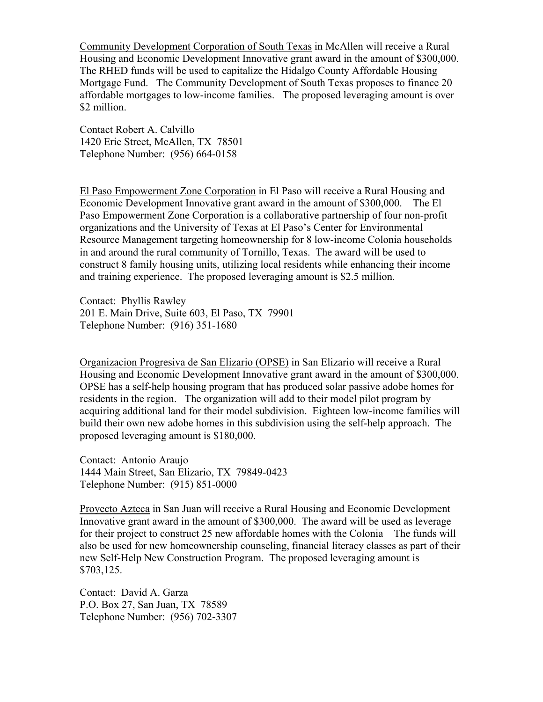Community Development Corporation of South Texas in McAllen will receive a Rural Housing and Economic Development Innovative grant award in the amount of \$300,000. The RHED funds will be used to capitalize the Hidalgo County Affordable Housing Mortgage Fund. The Community Development of South Texas proposes to finance 20 affordable mortgages to low-income families. The proposed leveraging amount is over \$2 million.

Contact Robert A. Calvillo 1420 Erie Street, McAllen, TX 78501 Telephone Number: (956) 664-0158

El Paso Empowerment Zone Corporation in El Paso will receive a Rural Housing and Economic Development Innovative grant award in the amount of \$300,000. The El Paso Empowerment Zone Corporation is a collaborative partnership of four non-profit organizations and the University of Texas at El Paso's Center for Environmental Resource Management targeting homeownership for 8 low-income Colonia households in and around the rural community of Tornillo, Texas. The award will be used to construct 8 family housing units, utilizing local residents while enhancing their income and training experience. The proposed leveraging amount is \$2.5 million.

Contact: Phyllis Rawley 201 E. Main Drive, Suite 603, El Paso, TX 79901 Telephone Number: (916) 351-1680

Organizacion Progresiva de San Elizario (OPSE) in San Elizario will receive a Rural Housing and Economic Development Innovative grant award in the amount of \$300,000. OPSE has a self-help housing program that has produced solar passive adobe homes for residents in the region. The organization will add to their model pilot program by acquiring additional land for their model subdivision. Eighteen low-income families will build their own new adobe homes in this subdivision using the self-help approach. The proposed leveraging amount is \$180,000.

Contact: Antonio Araujo 1444 Main Street, San Elizario, TX 79849-0423 Telephone Number: (915) 851-0000

Proyecto Azteca in San Juan will receive a Rural Housing and Economic Development Innovative grant award in the amount of \$300,000. The award will be used as leverage for their project to construct 25 new affordable homes with the Colonia The funds will also be used for new homeownership counseling, financial literacy classes as part of their new Self-Help New Construction Program. The proposed leveraging amount is \$703,125.

Contact: David A. Garza P.O. Box 27, San Juan, TX 78589 Telephone Number: (956) 702-3307